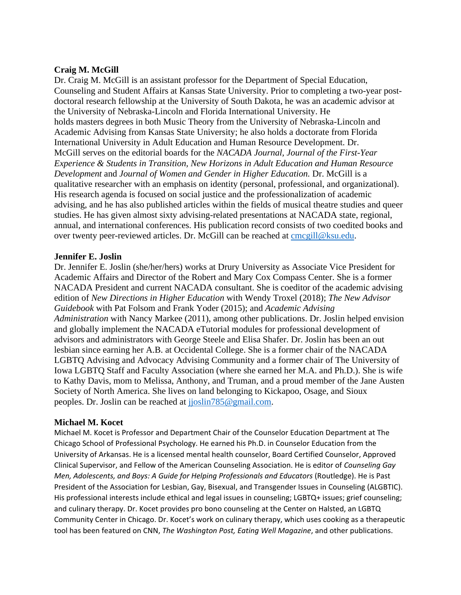## **Craig M. McGill**

Dr. Craig M. McGill is an assistant professor for the Department of Special Education, Counseling and Student Affairs at Kansas State University. Prior to completing a two-year postdoctoral research fellowship at the University of South Dakota, he was an academic advisor at the University of Nebraska-Lincoln and Florida International University. He holds masters degrees in both Music Theory from the University of Nebraska-Lincoln and Academic Advising from Kansas State University; he also holds a doctorate from Florida International University in Adult Education and Human Resource Development. Dr. McGill serves on the editorial boards for the *NACADA Journal, Journal of the First-Year Experience & Students in Transition, New Horizons in Adult Education and Human Resource Development* and *Journal of Women and Gender in Higher Education.* Dr. McGill is a qualitative researcher with an emphasis on identity (personal, professional, and organizational). His research agenda is focused on social justice and the professionalization of academic advising, and he has also published articles within the fields of musical theatre studies and queer studies. He has given almost sixty advising-related presentations at NACADA state, regional, annual, and international conferences. His publication record consists of two coedited books and over twenty peer-reviewed articles. Dr. McGill can be reached at [cmcgill@ksu.edu.](mailto:cmcgill@ksu.edu)

## **Jennifer E. Joslin**

Dr. Jennifer E. Joslin (she/her/hers) works at Drury University as Associate Vice President for Academic Affairs and Director of the Robert and Mary Cox Compass Center. She is a former NACADA President and current NACADA consultant. She is coeditor of the academic advising edition of *New Directions in Higher Education* with Wendy Troxel (2018); *The New Advisor Guidebook* with Pat Folsom and Frank Yoder (2015); and *Academic Advising Administration* with Nancy Markee (2011), among other publications. Dr. Joslin helped envision and globally implement the NACADA eTutorial modules for professional development of advisors and administrators with George Steele and Elisa Shafer. Dr. Joslin has been an out lesbian since earning her A.B. at Occidental College. She is a former chair of the NACADA LGBTQ Advising and Advocacy Advising Community and a former chair of The University of Iowa LGBTQ Staff and Faculty Association (where she earned her M.A. and Ph.D.). She is wife to Kathy Davis, mom to Melissa, Anthony, and Truman, and a proud member of the Jane Austen Society of North America. She lives on land belonging to Kickapoo, Osage, and Sioux peoples. Dr. Joslin can be reached at [jjoslin785@gmail.com.](mailto:jjoslin785@gmail.com)

## **Michael M. Kocet**

Michael M. Kocet is Professor and Department Chair of the Counselor Education Department at The Chicago School of Professional Psychology. He earned his Ph.D. in Counselor Education from the University of Arkansas. He is a licensed mental health counselor, Board Certified Counselor, Approved Clinical Supervisor, and Fellow of the American Counseling Association. He is editor of *Counseling Gay Men, Adolescents, and Boys: A Guide for Helping Professionals and Educators* (Routledge). He is Past President of the Association for Lesbian, Gay, Bisexual, and Transgender Issues in Counseling (ALGBTIC). His professional interests include ethical and legal issues in counseling; LGBTQ+ issues; grief counseling; and culinary therapy. Dr. Kocet provides pro bono counseling at the Center on Halsted, an LGBTQ Community Center in Chicago. Dr. Kocet's work on culinary therapy, which uses cooking as a therapeutic tool has been featured on CNN, *The Washington Post, Eating Well Magazine*, and other publications.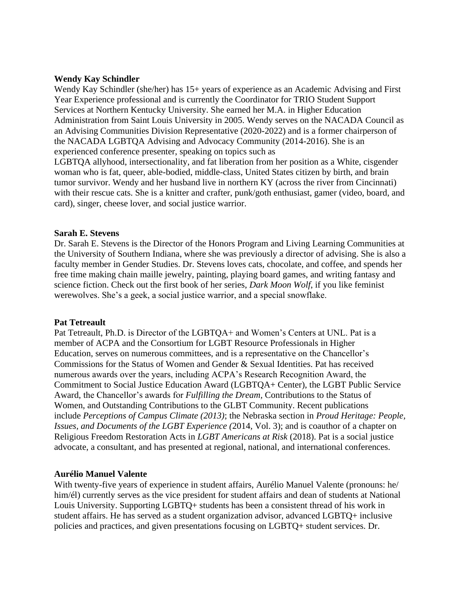### **Wendy Kay Schindler**

Wendy Kay Schindler (she/her) has 15+ years of experience as an Academic Advising and First Year Experience professional and is currently the Coordinator for TRIO Student Support Services at Northern Kentucky University. She earned her M.A. in Higher Education Administration from Saint Louis University in 2005. Wendy serves on the NACADA Council as an Advising Communities Division Representative (2020-2022) and is a former chairperson of the NACADA LGBTQA Advising and Advocacy Community (2014-2016). She is an experienced conference presenter, speaking on topics such as

LGBTQA allyhood, intersectionality, and fat liberation from her position as a White, cisgender woman who is fat, queer, able-bodied, middle-class, United States citizen by birth, and brain tumor survivor. Wendy and her husband live in northern KY (across the river from Cincinnati) with their rescue cats. She is a knitter and crafter, punk/goth enthusiast, gamer (video, board, and card), singer, cheese lover, and social justice warrior.

#### **Sarah E. Stevens**

Dr. Sarah E. Stevens is the Director of the Honors Program and Living Learning Communities at the University of Southern Indiana, where she was previously a director of advising. She is also a faculty member in Gender Studies. Dr. Stevens loves cats, chocolate, and coffee, and spends her free time making chain maille jewelry, painting, playing board games, and writing fantasy and science fiction. Check out the first book of her series, *Dark Moon Wolf*, if you like feminist werewolves. She's a geek, a social justice warrior, and a special snowflake.

#### **Pat Tetreault**

Pat Tetreault, Ph.D. is Director of the LGBTQA+ and Women's Centers at UNL. Pat is a member of ACPA and the Consortium for LGBT Resource Professionals in Higher Education, serves on numerous committees, and is a representative on the Chancellor's Commissions for the Status of Women and Gender & Sexual Identities. Pat has received numerous awards over the years, including ACPA's Research Recognition Award, the Commitment to Social Justice Education Award (LGBTQA+ Center), the LGBT Public Service Award, the Chancellor's awards for *Fulfilling the Dream,* Contributions to the Status of Women, and Outstanding Contributions to the GLBT Community. Recent publications include *Perceptions of Campus Climate (2013)*; the Nebraska section in *Proud Heritage: People, Issues, and Documents of the LGBT Experience (*2014*,* Vol. 3); and is coauthor of a chapter on Religious Freedom Restoration Acts in *LGBT Americans at Risk* (2018). Pat is a social justice advocate, a consultant, and has presented at regional, national, and international conferences.

#### **Aurélio Manuel Valente**

With twenty-five years of experience in student affairs, Aurélio Manuel Valente (pronouns: he/ him/ $\acute{e}$ l) currently serves as the vice president for student affairs and dean of students at National Louis University. Supporting LGBTQ+ students has been a consistent thread of his work in student affairs. He has served as a student organization advisor, advanced LGBTQ+ inclusive policies and practices, and given presentations focusing on LGBTQ+ student services. Dr.